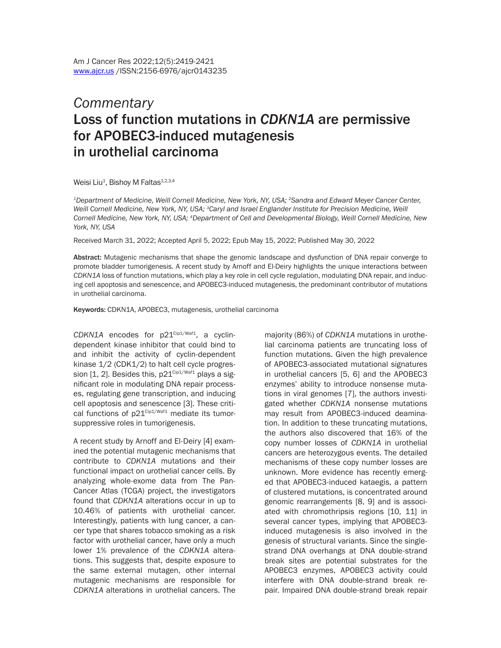## *Commentary* Loss of function mutations in *CDKN1A* are permissive for APOBEC3-induced mutagenesis in urothelial carcinoma

Weisi Liu<sup>1</sup>, Bishoy M Faltas<sup>1,2,3,4</sup>

*1Department of Medicine, Weill Cornell Medicine, New York, NY, USA; 2Sandra and Edward Meyer Cancer Center,*  Weill Cornell Medicine, New York, NY, USA; <sup>3</sup>Caryl and Israel Englander Institute for Precision Medicine, Weill *Cornell Medicine, New York, NY, USA; 4Department of Cell and Developmental Biology, Weill Cornell Medicine, New York, NY, USA*

Received March 31, 2022; Accepted April 5, 2022; Epub May 15, 2022; Published May 30, 2022

Abstract: Mutagenic mechanisms that shape the genomic landscape and dysfunction of DNA repair converge to promote bladder tumorigenesis. A recent study by Arnoff and El-Deiry highlights the unique interactions between *CDKN1A* loss of function mutations, which play a key role in cell cycle regulation, modulating DNA repair, and inducing cell apoptosis and senescence, and APOBEC3-induced mutagenesis, the predominant contributor of mutations in urothelial carcinoma.

Keywords: CDKN1A, APOBEC3, mutagenesis, urothelial carcinoma

 $CDKN1A$  encodes for  $D21^{\text{Cip1/Waf1}}$ , a cyclindependent kinase inhibitor that could bind to and inhibit the activity of cyclin-dependent kinase 1/2 (CDK1/2) to halt cell cycle progression  $[1, 2]$ . Besides this,  $p21^{\text{Cip1/Waf1}}$  plays a significant role in modulating DNA repair processes, regulating gene transcription, and inducing cell apoptosis and senescence [3]. These critical functions of  $p21^{\text{Cip1/Wafl}}$  mediate its tumorsuppressive roles in tumorigenesis.

A recent study by Arnoff and El-Deiry [4] examined the potential mutagenic mechanisms that contribute to *CDKN1A* mutations and their functional impact on urothelial cancer cells. By analyzing whole-exome data from The Pan-Cancer Atlas (TCGA) project, the investigators found that *CDKN1A* alterations occur in up to 10.46% of patients with urothelial cancer. Interestingly, patients with lung cancer, a cancer type that shares tobacco smoking as a risk factor with urothelial cancer, have only a much lower 1% prevalence of the *CDKN1A* alterations. This suggests that, despite exposure to the same external mutagen, other internal mutagenic mechanisms are responsible for *CDKN1A* alterations in urothelial cancers. The

majority (86%) of *CDKN1A* mutations in urothelial carcinoma patients are truncating loss of function mutations. Given the high prevalence of APOBEC3-associated mutational signatures in urothelial cancers [5, 6] and the APOBEC3 enzymes' ability to introduce nonsense mutations in viral genomes [7], the authors investigated whether *CDKN1A* nonsense mutations may result from APOBEC3-induced deamination. In addition to these truncating mutations, the authors also discovered that 16% of the copy number losses of *CDKN1A* in urothelial cancers are heterozygous events. The detailed mechanisms of these copy number losses are unknown. More evidence has recently emerged that APOBEC3-induced kataegis, a pattern of clustered mutations, is concentrated around genomic rearrangements [8, 9] and is associated with chromothripsis regions [10, 11] in several cancer types, implying that APOBEC3 induced mutagenesis is also involved in the genesis of structural variants. Since the singlestrand DNA overhangs at DNA double-strand break sites are potential substrates for the APOBEC3 enzymes, APOBEC3 activity could interfere with DNA double-strand break repair. Impaired DNA double-strand break repair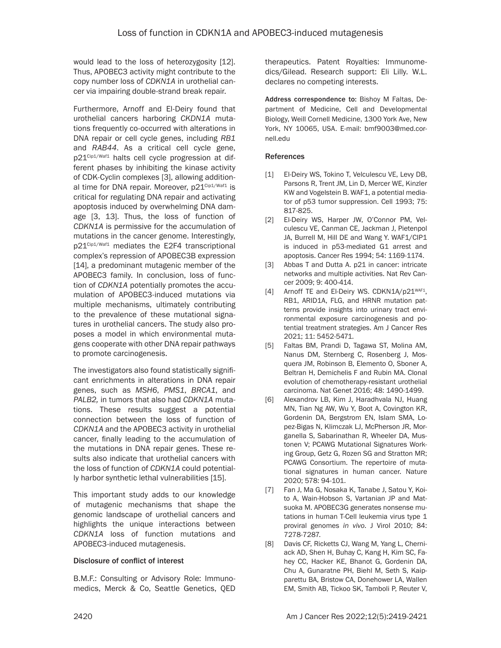would lead to the loss of heterozygosity [12]. Thus, APOBEC3 activity might contribute to the copy number loss of *CDKN1A* in urothelial cancer via impairing double-strand break repair.

Furthermore, Arnoff and El-Deiry found that urothelial cancers harboring *CKDN1A* mutations frequently co-occurred with alterations in DNA repair or cell cycle genes, including *RB1* and *RAB44*. As a critical cell cycle gene, p21<sup>Cip1/Waf1</sup> halts cell cycle progression at different phases by inhibiting the kinase activity of CDK-Cyclin complexes [3], allowing additional time for DNA repair. Moreover,  $p21^{\text{Cip1/Waf1}}$  is critical for regulating DNA repair and activating apoptosis induced by overwhelming DNA damage [3, 13]. Thus, the loss of function of *CDKN1A* is permissive for the accumulation of mutations in the cancer genome. Interestingly, p21Cip1/Waf1 mediates the E2F4 transcriptional complex's repression of APOBEC3B expression [14], a predominant mutagenic member of the APOBEC3 family. In conclusion, loss of function of *CDKN1A* potentially promotes the accumulation of APOBEC3-induced mutations via multiple mechanisms, ultimately contributing to the prevalence of these mutational signatures in urothelial cancers. The study also proposes a model in which environmental mutagens cooperate with other DNA repair pathways to promote carcinogenesis.

The investigators also found statistically significant enrichments in alterations in DNA repair genes, such as *MSH6*, *PMS1*, *BRCA1*, and *PALB2,* in tumors that also had *CDKN1A* mutations. These results suggest a potential connection between the loss of function of *CDKN1A* and the APOBEC3 activity in urothelial cancer, finally leading to the accumulation of the mutations in DNA repair genes. These results also indicate that urothelial cancers with the loss of function of *CDKN1A* could potentially harbor synthetic lethal vulnerabilities [15].

This important study adds to our knowledge of mutagenic mechanisms that shape the genomic landscape of urothelial cancers and highlights the unique interactions between *CDKN1A* loss of function mutations and APOBEC3-induced mutagenesis.

## Disclosure of conflict of interest

B.M.F.: Consulting or Advisory Role: Immunomedics, Merck & Co, Seattle Genetics, QED therapeutics. Patent Royalties: Immunomedics/Gilead. Research support: Eli Lilly. W.L. declares no competing interests.

Address correspondence to: Bishoy M Faltas, Department of Medicine, Cell and Developmental Biology, Weill Cornell Medicine, 1300 York Ave, New York, NY 10065, USA. E-mail: [bmf9003@med.cor](mailto:bmf9003@med.cornell.edu)[nell.edu](mailto:bmf9003@med.cornell.edu)

## References

- [1] El-Deiry WS, Tokino T, Velculescu VE, Levy DB, Parsons R, Trent JM, Lin D, Mercer WE, Kinzler KW and Vogelstein B. WAF1, a potential mediator of p53 tumor suppression. Cell 1993; 75: 817-825.
- [2] El-Deiry WS, Harper JW, O'Connor PM, Velculescu VE, Canman CE, Jackman J, Pietenpol JA, Burrell M, Hill DE and Wang Y. WAF1/CIP1 is induced in p53-mediated G1 arrest and apoptosis. Cancer Res 1994; 54: 1169-1174.
- [3] Abbas T and Dutta A. p21 in cancer: intricate networks and multiple activities. Nat Rev Cancer 2009; 9: 400-414.
- [4] Arnoff TE and El-Deiry WS. CDKN1A/p21WAF1, RB1, ARID1A, FLG, and HRNR mutation patterns provide insights into urinary tract environmental exposure carcinogenesis and potential treatment strategies. Am J Cancer Res 2021; 11: 5452-5471.
- [5] Faltas BM, Prandi D, Tagawa ST, Molina AM, Nanus DM, Sternberg C, Rosenberg J, Mosquera JM, Robinson B, Elemento O, Sboner A, Beltran H, Demichelis F and Rubin MA. Clonal evolution of chemotherapy-resistant urothelial carcinoma. Nat Genet 2016; 48: 1490-1499.
- [6] Alexandrov LB, Kim J, Haradhvala NJ, Huang MN, Tian Ng AW, Wu Y, Boot A, Covington KR, Gordenin DA, Bergstrom EN, Islam SMA, Lopez-Bigas N, Klimczak LJ, McPherson JR, Morganella S, Sabarinathan R, Wheeler DA, Mustonen V; PCAWG Mutational Signatures Working Group, Getz G, Rozen SG and Stratton MR; PCAWG Consortium. The repertoire of mutational signatures in human cancer. Nature 2020; 578: 94-101.
- [7] Fan J, Ma G, Nosaka K, Tanabe J, Satou Y, Koito A, Wain-Hobson S, Vartanian JP and Matsuoka M. APOBEC3G generates nonsense mutations in human T-Cell leukemia virus type 1 proviral genomes *in vivo*. J Virol 2010; 84: 7278-7287.
- [8] Davis CF, Ricketts CJ, Wang M, Yang L, Cherniack AD, Shen H, Buhay C, Kang H, Kim SC, Fahey CC, Hacker KE, Bhanot G, Gordenin DA, Chu A, Gunaratne PH, Biehl M, Seth S, Kaipparettu BA, Bristow CA, Donehower LA, Wallen EM, Smith AB, Tickoo SK, Tamboli P, Reuter V,